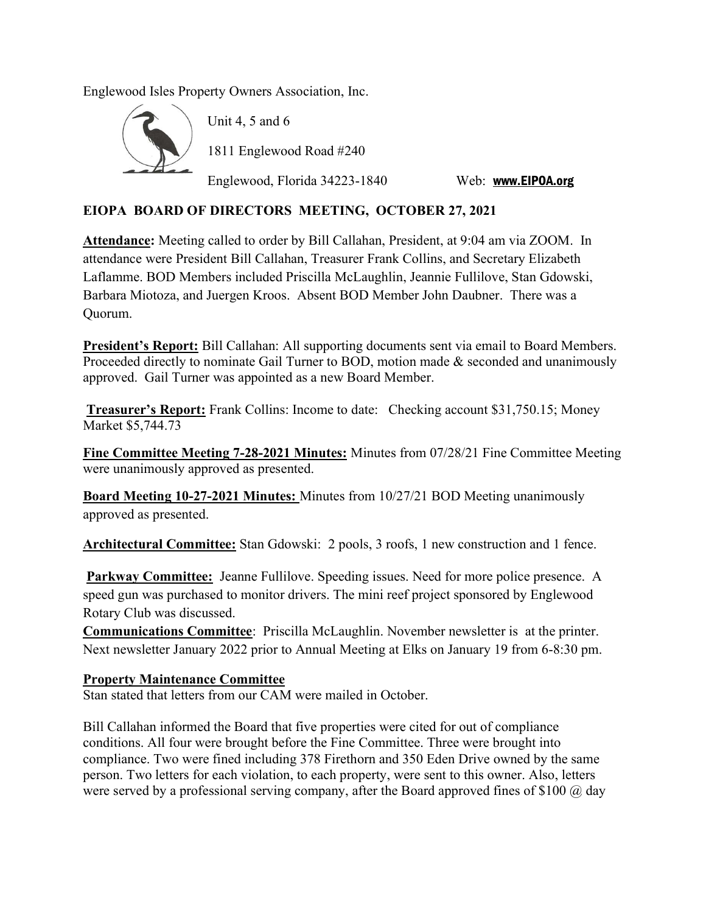Englewood Isles Property Owners Association, Inc.



Unit 4, 5 and 6 1811 Englewood Road #240

Englewood, Florida 34223-1840 Web: www.EIPOA.org

## EIOPA BOARD OF DIRECTORS MEETING, OCTOBER 27, 2021

Attendance: Meeting called to order by Bill Callahan, President, at 9:04 am via ZOOM. In attendance were President Bill Callahan, Treasurer Frank Collins, and Secretary Elizabeth Laflamme. BOD Members included Priscilla McLaughlin, Jeannie Fullilove, Stan Gdowski, Barbara Miotoza, and Juergen Kroos. Absent BOD Member John Daubner. There was a Quorum.

President's Report: Bill Callahan: All supporting documents sent via email to Board Members. Proceeded directly to nominate Gail Turner to BOD, motion made & seconded and unanimously approved. Gail Turner was appointed as a new Board Member.

Treasurer's Report: Frank Collins: Income to date: Checking account \$31,750.15; Money Market \$5,744.73

Fine Committee Meeting 7-28-2021 Minutes: Minutes from 07/28/21 Fine Committee Meeting were unanimously approved as presented.

Board Meeting 10-27-2021 Minutes: Minutes from 10/27/21 BOD Meeting unanimously approved as presented.

Architectural Committee: Stan Gdowski: 2 pools, 3 roofs, 1 new construction and 1 fence.

Parkway Committee: Jeanne Fullilove. Speeding issues. Need for more police presence. A speed gun was purchased to monitor drivers. The mini reef project sponsored by Englewood Rotary Club was discussed.

Communications Committee: Priscilla McLaughlin. November newsletter is at the printer. Next newsletter January 2022 prior to Annual Meeting at Elks on January 19 from 6-8:30 pm.

## Property Maintenance Committee

Stan stated that letters from our CAM were mailed in October.

Bill Callahan informed the Board that five properties were cited for out of compliance conditions. All four were brought before the Fine Committee. Three were brought into compliance. Two were fined including 378 Firethorn and 350 Eden Drive owned by the same person. Two letters for each violation, to each property, were sent to this owner. Also, letters were served by a professional serving company, after the Board approved fines of \$100  $\omega$  day